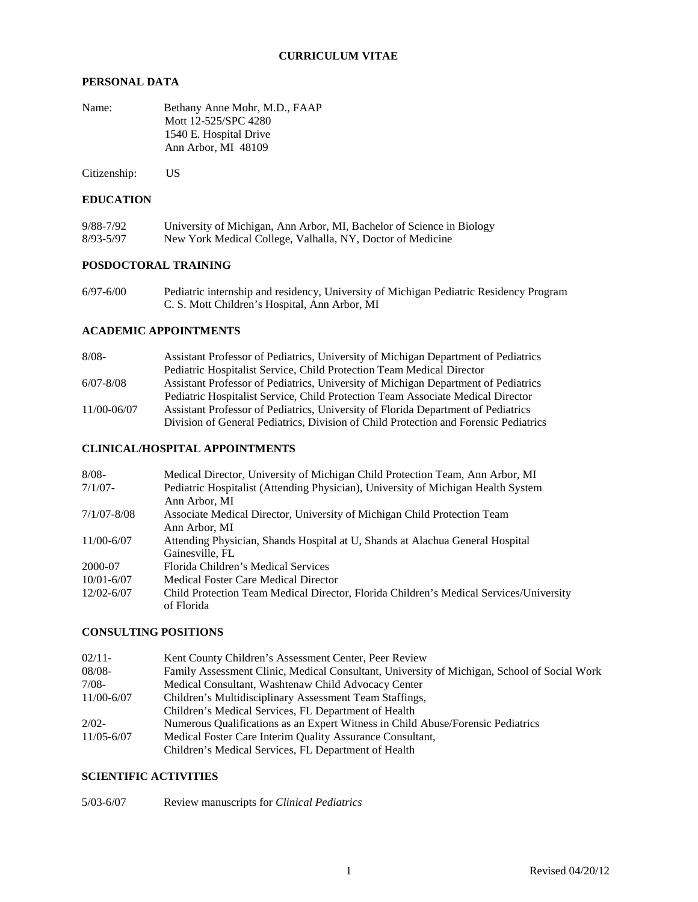### **PERSONAL DATA**

| Bethany Anne Mohr, M.D., FAAP |
|-------------------------------|
| Mott 12-525/SPC 4280          |
| 1540 E. Hospital Drive        |
| Ann Arbor, MI 48109           |
|                               |

Citizenship: US

### **EDUCATION**

| 9/88-7/92 | University of Michigan, Ann Arbor, MI, Bachelor of Science in Biology |
|-----------|-----------------------------------------------------------------------|
| 8/93-5/97 | New York Medical College, Valhalla, NY, Doctor of Medicine            |

### **POSDOCTORAL TRAINING**

6/97-6/00 Pediatric internship and residency, University of Michigan Pediatric Residency Program C. S. Mott Children's Hospital, Ann Arbor, MI

### **ACADEMIC APPOINTMENTS**

| $8/08 -$      | Assistant Professor of Pediatrics, University of Michigan Department of Pediatrics   |
|---------------|--------------------------------------------------------------------------------------|
|               | <b>Pediatric Hospitalist Service, Child Protection Team Medical Director</b>         |
| $6/07 - 8/08$ | Assistant Professor of Pediatrics, University of Michigan Department of Pediatrics   |
|               | Pediatric Hospitalist Service, Child Protection Team Associate Medical Director      |
| 11/00-06/07   | Assistant Professor of Pediatrics, University of Florida Department of Pediatrics    |
|               | Division of General Pediatrics, Division of Child Protection and Forensic Pediatrics |

### **CLINICAL/HOSPITAL APPOINTMENTS**

| $8/08 -$       | Medical Director, University of Michigan Child Protection Team, Ann Arbor, MI          |
|----------------|----------------------------------------------------------------------------------------|
| $7/1/07$ -     | Pediatric Hospitalist (Attending Physician), University of Michigan Health System      |
|                | Ann Arbor, MI                                                                          |
| 7/1/07-8/08    | Associate Medical Director, University of Michigan Child Protection Team               |
|                | Ann Arbor, MI                                                                          |
| $11/00 - 6/07$ | Attending Physician, Shands Hospital at U, Shands at Alachua General Hospital          |
|                | Gainesville, FL                                                                        |
| 2000-07        | Florida Children's Medical Services                                                    |
| $10/01 - 6/07$ | Medical Foster Care Medical Director                                                   |
| $12/02 - 6/07$ | Child Protection Team Medical Director, Florida Children's Medical Services/University |
|                | of Florida                                                                             |

#### **CONSULTING POSITIONS**

| $02/11 -$      | Kent County Children's Assessment Center, Peer Review                                       |
|----------------|---------------------------------------------------------------------------------------------|
| $08/08 -$      | Family Assessment Clinic, Medical Consultant, University of Michigan, School of Social Work |
| $7/08-$        | Medical Consultant, Washtenaw Child Advocacy Center                                         |
| $11/00 - 6/07$ | Children's Multidisciplinary Assessment Team Staffings,                                     |
|                | Children's Medical Services, FL Department of Health                                        |
| $2/02 -$       | Numerous Qualifications as an Expert Witness in Child Abuse/Forensic Pediatrics             |
| $11/05 - 6/07$ | Medical Foster Care Interim Quality Assurance Consultant,                                   |
|                | Children's Medical Services, FL Department of Health                                        |

#### **SCIENTIFIC ACTIVITIES**

5/03-6/07 Review manuscripts for *Clinical Pediatrics*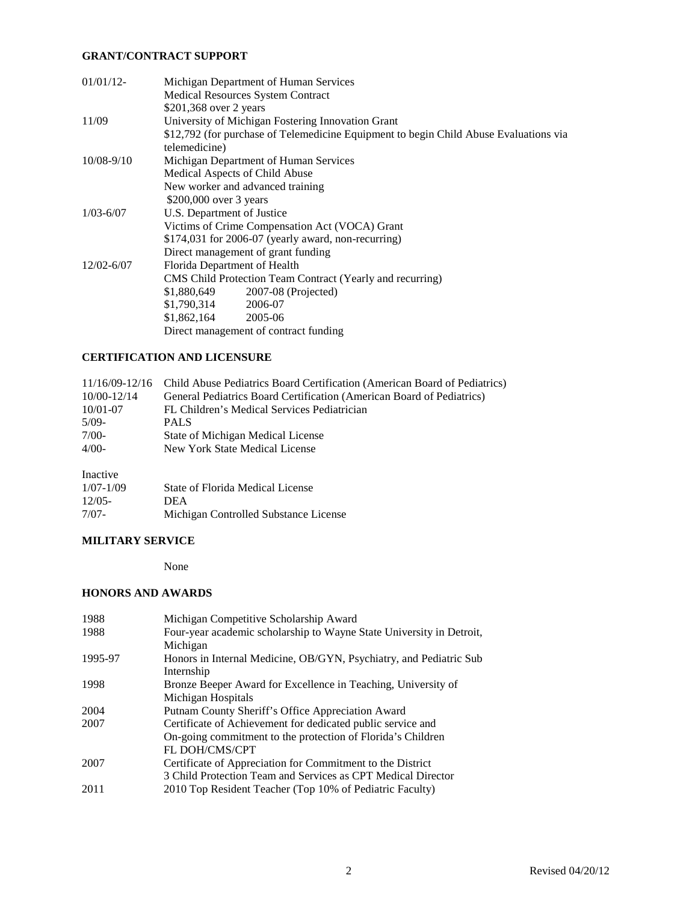### **GRANT/CONTRACT SUPPORT**

| $01/01/12$ -   | Michigan Department of Human Services                                                 |
|----------------|---------------------------------------------------------------------------------------|
|                | <b>Medical Resources System Contract</b>                                              |
|                | \$201,368 over 2 years                                                                |
| 11/09          | University of Michigan Fostering Innovation Grant                                     |
|                | \$12,792 (for purchase of Telemedicine Equipment to begin Child Abuse Evaluations via |
|                | telemedicine)                                                                         |
| $10/08 - 9/10$ | Michigan Department of Human Services                                                 |
|                | Medical Aspects of Child Abuse                                                        |
|                | New worker and advanced training                                                      |
|                | \$200,000 over 3 years                                                                |
| $1/03 - 6/07$  | U.S. Department of Justice                                                            |
|                | Victims of Crime Compensation Act (VOCA) Grant                                        |
|                | $$174,031$ for 2006-07 (yearly award, non-recurring)                                  |
|                | Direct management of grant funding                                                    |
| $12/02 - 6/07$ | Florida Department of Health                                                          |
|                | CMS Child Protection Team Contract (Yearly and recurring)                             |
|                | 2007-08 (Projected)<br>\$1,880,649                                                    |
|                | \$1,790,314<br>2006-07                                                                |
|                | $$1,862,164$ 2005-06                                                                  |
|                | Direct management of contract funding                                                 |

# **CERTIFICATION AND LICENSURE**

|              | 11/16/09-12/16 Child Abuse Pediatrics Board Certification (American Board of Pediatrics) |
|--------------|------------------------------------------------------------------------------------------|
| 10/00-12/14  | General Pediatrics Board Certification (American Board of Pediatrics)                    |
| $10/01 - 07$ | FL Children's Medical Services Pediatrician                                              |
| $5/09-$      | <b>PALS</b>                                                                              |
| $7/00-$      | State of Michigan Medical License                                                        |
| $4/00-$      | New York State Medical License                                                           |
|              |                                                                                          |

## Inactive

| $1/07 - 1/09$ | State of Florida Medical License      |
|---------------|---------------------------------------|
| $12/05-$      | <b>DEA</b>                            |
| 7/07-         | Michigan Controlled Substance License |

## **MILITARY SERVICE**

None

### **HONORS AND AWARDS**

| 1988    | Michigan Competitive Scholarship Award                                                                                                              |
|---------|-----------------------------------------------------------------------------------------------------------------------------------------------------|
| 1988    | Four-year academic scholarship to Wayne State University in Detroit,<br>Michigan                                                                    |
| 1995-97 | Honors in Internal Medicine, OB/GYN, Psychiatry, and Pediatric Sub<br>Internship                                                                    |
| 1998    | Bronze Beeper Award for Excellence in Teaching, University of<br>Michigan Hospitals                                                                 |
| 2004    | Putnam County Sheriff's Office Appreciation Award                                                                                                   |
| 2007    | Certificate of Achievement for dedicated public service and<br>On-going commitment to the protection of Florida's Children<br><b>FL DOH/CMS/CPT</b> |
| 2007    | Certificate of Appreciation for Commitment to the District<br>3 Child Protection Team and Services as CPT Medical Director                          |
| 2011    | 2010 Top Resident Teacher (Top 10% of Pediatric Faculty)                                                                                            |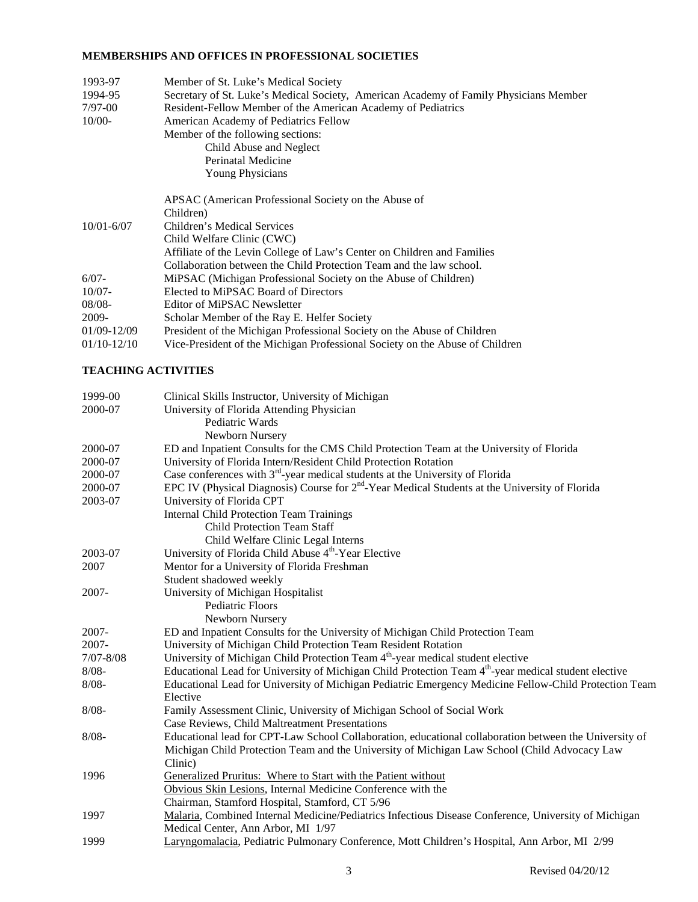### **MEMBERSHIPS AND OFFICES IN PROFESSIONAL SOCIETIES**

| 1993-97        | Member of St. Luke's Medical Society                                                  |
|----------------|---------------------------------------------------------------------------------------|
| 1994-95        | Secretary of St. Luke's Medical Society, American Academy of Family Physicians Member |
| $7/97-00$      | Resident-Fellow Member of the American Academy of Pediatrics                          |
| $10/00-$       | American Academy of Pediatrics Fellow                                                 |
|                | Member of the following sections:                                                     |
|                | Child Abuse and Neglect                                                               |
|                | Perinatal Medicine                                                                    |
|                | <b>Young Physicians</b>                                                               |
|                | APSAC (American Professional Society on the Abuse of                                  |
|                | Children)                                                                             |
| $10/01 - 6/07$ | Children's Medical Services                                                           |
|                | Child Welfare Clinic (CWC)                                                            |
|                | Affiliate of the Levin College of Law's Center on Children and Families               |
|                | Collaboration between the Child Protection Team and the law school.                   |
| $6/07 -$       | MiPSAC (Michigan Professional Society on the Abuse of Children)                       |
| $10/07 -$      | Elected to MiPSAC Board of Directors                                                  |
| $08/08 -$      | Editor of MiPSAC Newsletter                                                           |
| 2009-          | Scholar Member of the Ray E. Helfer Society                                           |
| 01/09-12/09    | President of the Michigan Professional Society on the Abuse of Children               |
| $01/10-12/10$  | Vice-President of the Michigan Professional Society on the Abuse of Children          |

## **TEACHING ACTIVITIES**

| 1999-00       | Clinical Skills Instructor, University of Michigan                                                               |
|---------------|------------------------------------------------------------------------------------------------------------------|
| 2000-07       | University of Florida Attending Physician                                                                        |
|               | Pediatric Wards                                                                                                  |
|               | Newborn Nursery                                                                                                  |
| 2000-07       | ED and Inpatient Consults for the CMS Child Protection Team at the University of Florida                         |
| 2000-07       | University of Florida Intern/Resident Child Protection Rotation                                                  |
| 2000-07       | Case conferences with 3 <sup>rd</sup> -year medical students at the University of Florida                        |
| 2000-07       | EPC IV (Physical Diagnosis) Course for $2nd$ -Year Medical Students at the University of Florida                 |
| 2003-07       | University of Florida CPT                                                                                        |
|               | <b>Internal Child Protection Team Trainings</b>                                                                  |
|               | <b>Child Protection Team Staff</b>                                                                               |
|               | Child Welfare Clinic Legal Interns                                                                               |
| 2003-07       | University of Florida Child Abuse 4 <sup>th</sup> -Year Elective                                                 |
| 2007          | Mentor for a University of Florida Freshman                                                                      |
|               | Student shadowed weekly                                                                                          |
| 2007-         | University of Michigan Hospitalist                                                                               |
|               | Pediatric Floors                                                                                                 |
|               | Newborn Nursery                                                                                                  |
| $2007 -$      | ED and Inpatient Consults for the University of Michigan Child Protection Team                                   |
| 2007-         | University of Michigan Child Protection Team Resident Rotation                                                   |
| $7/07 - 8/08$ | University of Michigan Child Protection Team 4 <sup>th</sup> -year medical student elective                      |
| $8/08 -$      | Educational Lead for University of Michigan Child Protection Team 4 <sup>th</sup> -year medical student elective |
| $8/08 -$      | Educational Lead for University of Michigan Pediatric Emergency Medicine Fellow-Child Protection Team            |
|               | Elective                                                                                                         |
| $8/08 -$      | Family Assessment Clinic, University of Michigan School of Social Work                                           |
|               | Case Reviews, Child Maltreatment Presentations                                                                   |
| $8/08 -$      | Educational lead for CPT-Law School Collaboration, educational collaboration between the University of           |
|               | Michigan Child Protection Team and the University of Michigan Law School (Child Advocacy Law                     |
|               | Clinic)                                                                                                          |
| 1996          | Generalized Pruritus: Where to Start with the Patient without                                                    |
|               | Obvious Skin Lesions, Internal Medicine Conference with the                                                      |
|               | Chairman, Stamford Hospital, Stamford, CT 5/96                                                                   |
| 1997          | Malaria, Combined Internal Medicine/Pediatrics Infectious Disease Conference, University of Michigan             |
|               | Medical Center, Ann Arbor, MI 1/97                                                                               |
| 1999          | Laryngomalacia, Pediatric Pulmonary Conference, Mott Children's Hospital, Ann Arbor, MI 2/99                     |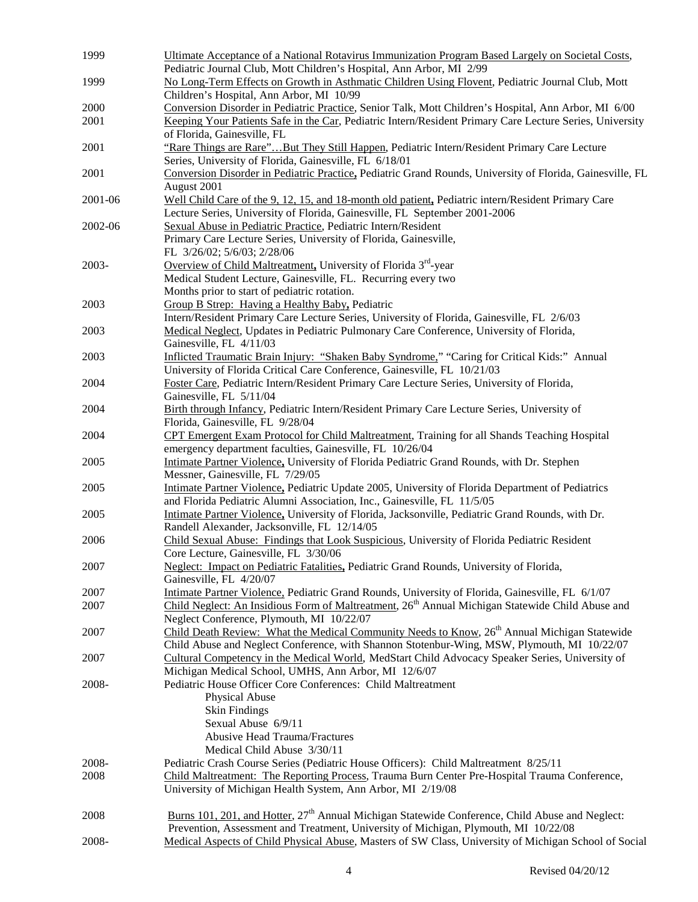| 1999    | Ultimate Acceptance of a National Rotavirus Immunization Program Based Largely on Societal Costs,                                                                                              |
|---------|------------------------------------------------------------------------------------------------------------------------------------------------------------------------------------------------|
|         | Pediatric Journal Club, Mott Children's Hospital, Ann Arbor, MI 2/99                                                                                                                           |
| 1999    | No Long-Term Effects on Growth in Asthmatic Children Using Flovent, Pediatric Journal Club, Mott                                                                                               |
| 2000    | Children's Hospital, Ann Arbor, MI 10/99<br>Conversion Disorder in Pediatric Practice, Senior Talk, Mott Children's Hospital, Ann Arbor, MI 6/00                                               |
| 2001    | Keeping Your Patients Safe in the Car, Pediatric Intern/Resident Primary Care Lecture Series, University                                                                                       |
|         | of Florida, Gainesville, FL                                                                                                                                                                    |
| 2001    | "Rare Things are Rare"But They Still Happen, Pediatric Intern/Resident Primary Care Lecture                                                                                                    |
|         | Series, University of Florida, Gainesville, FL 6/18/01                                                                                                                                         |
| 2001    | Conversion Disorder in Pediatric Practice, Pediatric Grand Rounds, University of Florida, Gainesville, FL                                                                                      |
|         | August 2001                                                                                                                                                                                    |
| 2001-06 | Well Child Care of the 9, 12, 15, and 18-month old patient, Pediatric intern/Resident Primary Care                                                                                             |
|         | Lecture Series, University of Florida, Gainesville, FL September 2001-2006                                                                                                                     |
| 2002-06 | Sexual Abuse in Pediatric Practice, Pediatric Intern/Resident                                                                                                                                  |
|         | Primary Care Lecture Series, University of Florida, Gainesville,                                                                                                                               |
|         | FL 3/26/02; 5/6/03; 2/28/06                                                                                                                                                                    |
| 2003-   | Overview of Child Maltreatment, University of Florida 3 <sup>rd</sup> -year                                                                                                                    |
|         | Medical Student Lecture, Gainesville, FL. Recurring every two                                                                                                                                  |
|         | Months prior to start of pediatric rotation.                                                                                                                                                   |
| 2003    | Group B Strep: Having a Healthy Baby, Pediatric                                                                                                                                                |
|         | Intern/Resident Primary Care Lecture Series, University of Florida, Gainesville, FL 2/6/03                                                                                                     |
| 2003    | Medical Neglect, Updates in Pediatric Pulmonary Care Conference, University of Florida,                                                                                                        |
|         | Gainesville, FL 4/11/03                                                                                                                                                                        |
| 2003    | Inflicted Traumatic Brain Injury: "Shaken Baby Syndrome," "Caring for Critical Kids:" Annual                                                                                                   |
|         | University of Florida Critical Care Conference, Gainesville, FL 10/21/03                                                                                                                       |
| 2004    | Foster Care, Pediatric Intern/Resident Primary Care Lecture Series, University of Florida,                                                                                                     |
|         | Gainesville, FL 5/11/04                                                                                                                                                                        |
| 2004    | Birth through Infancy, Pediatric Intern/Resident Primary Care Lecture Series, University of<br>Florida, Gainesville, FL 9/28/04                                                                |
| 2004    | CPT Emergent Exam Protocol for Child Maltreatment, Training for all Shands Teaching Hospital                                                                                                   |
|         | emergency department faculties, Gainesville, FL 10/26/04                                                                                                                                       |
| 2005    | Intimate Partner Violence, University of Florida Pediatric Grand Rounds, with Dr. Stephen                                                                                                      |
|         | Messner, Gainesville, FL 7/29/05                                                                                                                                                               |
| 2005    | Intimate Partner Violence, Pediatric Update 2005, University of Florida Department of Pediatrics                                                                                               |
|         | and Florida Pediatric Alumni Association, Inc., Gainesville, FL 11/5/05                                                                                                                        |
| 2005    | Intimate Partner Violence, University of Florida, Jacksonville, Pediatric Grand Rounds, with Dr.                                                                                               |
|         | Randell Alexander, Jacksonville, FL 12/14/05                                                                                                                                                   |
| 2006    | Child Sexual Abuse: Findings that Look Suspicious, University of Florida Pediatric Resident                                                                                                    |
|         | Core Lecture, Gainesville, FL 3/30/06                                                                                                                                                          |
| 2007    | Neglect: Impact on Pediatric Fatalities, Pediatric Grand Rounds, University of Florida,                                                                                                        |
|         | Gainesville, FL 4/20/07                                                                                                                                                                        |
| 2007    | Intimate Partner Violence, Pediatric Grand Rounds, University of Florida, Gainesville, FL 6/1/07                                                                                               |
| 2007    | Child Neglect: An Insidious Form of Maltreatment, 26 <sup>th</sup> Annual Michigan Statewide Child Abuse and                                                                                   |
|         | Neglect Conference, Plymouth, MI 10/22/07                                                                                                                                                      |
| 2007    | Child Death Review: What the Medical Community Needs to Know, 26 <sup>th</sup> Annual Michigan Statewide                                                                                       |
| 2007    | Child Abuse and Neglect Conference, with Shannon Stotenbur-Wing, MSW, Plymouth, MI 10/22/07<br>Cultural Competency in the Medical World, MedStart Child Advocacy Speaker Series, University of |
|         | Michigan Medical School, UMHS, Ann Arbor, MI 12/6/07                                                                                                                                           |
| 2008-   | Pediatric House Officer Core Conferences: Child Maltreatment                                                                                                                                   |
|         | Physical Abuse                                                                                                                                                                                 |
|         | <b>Skin Findings</b>                                                                                                                                                                           |
|         | Sexual Abuse 6/9/11                                                                                                                                                                            |
|         | <b>Abusive Head Trauma/Fractures</b>                                                                                                                                                           |
|         | Medical Child Abuse 3/30/11                                                                                                                                                                    |
| 2008-   | Pediatric Crash Course Series (Pediatric House Officers): Child Maltreatment 8/25/11                                                                                                           |
| 2008    | Child Maltreatment: The Reporting Process, Trauma Burn Center Pre-Hospital Trauma Conference,                                                                                                  |
|         | University of Michigan Health System, Ann Arbor, MI 2/19/08                                                                                                                                    |
|         |                                                                                                                                                                                                |
| 2008    | Burns 101, 201, and Hotter, 27 <sup>th</sup> Annual Michigan Statewide Conference, Child Abuse and Neglect:                                                                                    |
|         | Prevention, Assessment and Treatment, University of Michigan, Plymouth, MI 10/22/08                                                                                                            |
| 2008-   | Medical Aspects of Child Physical Abuse, Masters of SW Class, University of Michigan School of Social                                                                                          |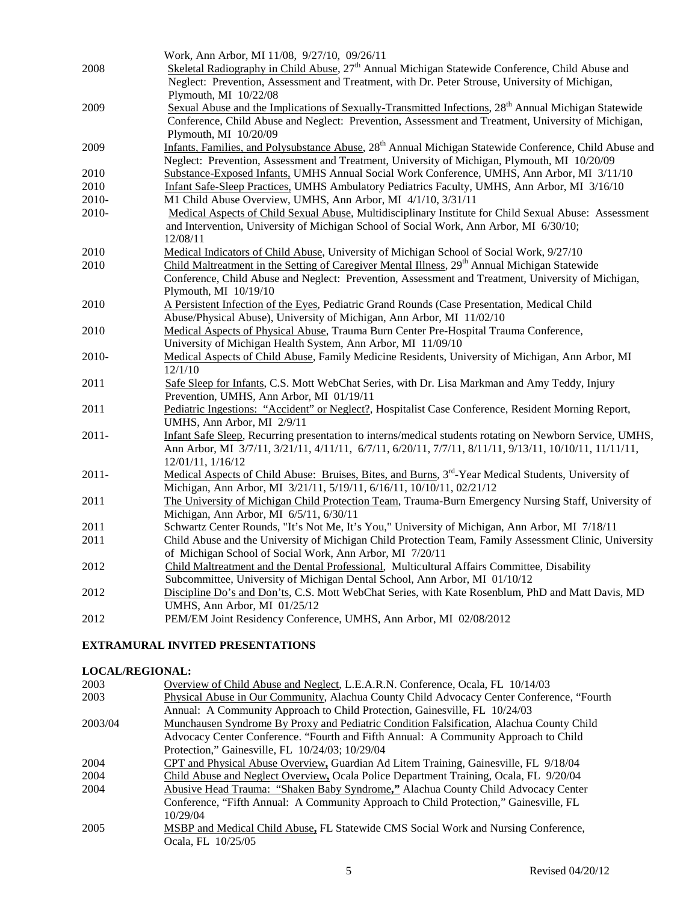| Skeletal Radiography in Child Abuse, $27th$ Annual Michigan Statewide Conference, Child Abuse and<br>Neglect: Prevention, Assessment and Treatment, with Dr. Peter Strouse, University of Michigan,<br>Plymouth, MI 10/22/08 |
|------------------------------------------------------------------------------------------------------------------------------------------------------------------------------------------------------------------------------|
|                                                                                                                                                                                                                              |
|                                                                                                                                                                                                                              |
|                                                                                                                                                                                                                              |
| Sexual Abuse and the Implications of Sexually-Transmitted Infections, 28 <sup>th</sup> Annual Michigan Statewide                                                                                                             |
| Conference, Child Abuse and Neglect: Prevention, Assessment and Treatment, University of Michigan,                                                                                                                           |
| Plymouth, MI 10/20/09                                                                                                                                                                                                        |
| Infants, Families, and Polysubstance Abuse, 28 <sup>th</sup> Annual Michigan Statewide Conference, Child Abuse and                                                                                                           |
| Neglect: Prevention, Assessment and Treatment, University of Michigan, Plymouth, MI 10/20/09                                                                                                                                 |
| Substance-Exposed Infants, UMHS Annual Social Work Conference, UMHS, Ann Arbor, MI 3/11/10                                                                                                                                   |
| Infant Safe-Sleep Practices, UMHS Ambulatory Pediatrics Faculty, UMHS, Ann Arbor, MI 3/16/10                                                                                                                                 |
| M1 Child Abuse Overview, UMHS, Ann Arbor, MI 4/1/10, 3/31/11                                                                                                                                                                 |
| Medical Aspects of Child Sexual Abuse, Multidisciplinary Institute for Child Sexual Abuse: Assessment                                                                                                                        |
| and Intervention, University of Michigan School of Social Work, Ann Arbor, MI 6/30/10;                                                                                                                                       |
| 12/08/11                                                                                                                                                                                                                     |
| Medical Indicators of Child Abuse, University of Michigan School of Social Work, 9/27/10                                                                                                                                     |
| Child Maltreatment in the Setting of Caregiver Mental Illness, 29 <sup>th</sup> Annual Michigan Statewide                                                                                                                    |
| Conference, Child Abuse and Neglect: Prevention, Assessment and Treatment, University of Michigan,                                                                                                                           |
| Plymouth, MI 10/19/10                                                                                                                                                                                                        |
| A Persistent Infection of the Eyes, Pediatric Grand Rounds (Case Presentation, Medical Child                                                                                                                                 |
| Abuse/Physical Abuse), University of Michigan, Ann Arbor, MI 11/02/10                                                                                                                                                        |
| Medical Aspects of Physical Abuse, Trauma Burn Center Pre-Hospital Trauma Conference,                                                                                                                                        |
| University of Michigan Health System, Ann Arbor, MI 11/09/10<br>Medical Aspects of Child Abuse, Family Medicine Residents, University of Michigan, Ann Arbor, MI                                                             |
| 12/1/10                                                                                                                                                                                                                      |
| Safe Sleep for Infants, C.S. Mott WebChat Series, with Dr. Lisa Markman and Amy Teddy, Injury                                                                                                                                |
| Prevention, UMHS, Ann Arbor, MI 01/19/11                                                                                                                                                                                     |
| Pediatric Ingestions: "Accident" or Neglect?, Hospitalist Case Conference, Resident Morning Report,                                                                                                                          |
| UMHS, Ann Arbor, MI 2/9/11                                                                                                                                                                                                   |
| Infant Safe Sleep, Recurring presentation to interns/medical students rotating on Newborn Service, UMHS,                                                                                                                     |
| Ann Arbor, MI 3/7/11, 3/21/11, 4/11/11, 6/7/11, 6/20/11, 7/7/11, 8/11/11, 9/13/11, 10/10/11, 11/11/11,                                                                                                                       |
| 12/01/11, 1/16/12                                                                                                                                                                                                            |
| Medical Aspects of Child Abuse: Bruises, Bites, and Burns, 3 <sup>rd</sup> -Year Medical Students, University of                                                                                                             |
| Michigan, Ann Arbor, MI 3/21/11, 5/19/11, 6/16/11, 10/10/11, 02/21/12                                                                                                                                                        |
| The University of Michigan Child Protection Team, Trauma-Burn Emergency Nursing Staff, University of                                                                                                                         |
| Michigan, Ann Arbor, MI 6/5/11, 6/30/11                                                                                                                                                                                      |
| Schwartz Center Rounds, "It's Not Me, It's You," University of Michigan, Ann Arbor, MI 7/18/11                                                                                                                               |
| Child Abuse and the University of Michigan Child Protection Team, Family Assessment Clinic, University                                                                                                                       |
| of Michigan School of Social Work, Ann Arbor, MI 7/20/11                                                                                                                                                                     |
| Child Maltreatment and the Dental Professional, Multicultural Affairs Committee, Disability                                                                                                                                  |
| Subcommittee, University of Michigan Dental School, Ann Arbor, MI 01/10/12                                                                                                                                                   |
| Discipline Do's and Don'ts, C.S. Mott WebChat Series, with Kate Rosenblum, PhD and Matt Davis, MD                                                                                                                            |
| UMHS, Ann Arbor, MI 01/25/12                                                                                                                                                                                                 |
| PEM/EM Joint Residency Conference, UMHS, Ann Arbor, MI 02/08/2012                                                                                                                                                            |
|                                                                                                                                                                                                                              |

## **EXTRAMURAL INVITED PRESENTATIONS**

# **LOCAL/REGIONAL:**

| 2003    | Overview of Child Abuse and Neglect, L.E.A.R.N. Conference, Ocala, FL 10/14/03             |
|---------|--------------------------------------------------------------------------------------------|
| 2003    | Physical Abuse in Our Community, Alachua County Child Advocacy Center Conference, "Fourth" |
|         | Annual: A Community Approach to Child Protection, Gainesville, FL 10/24/03                 |
| 2003/04 | Munchausen Syndrome By Proxy and Pediatric Condition Falsification, Alachua County Child   |
|         | Advocacy Center Conference. "Fourth and Fifth Annual: A Community Approach to Child        |
|         | Protection," Gainesville, FL 10/24/03; 10/29/04                                            |
| 2004    | CPT and Physical Abuse Overview, Guardian Ad Litem Training, Gainesville, FL 9/18/04       |
| 2004    | Child Abuse and Neglect Overview, Ocala Police Department Training, Ocala, FL 9/20/04      |
| 2004    | Abusive Head Trauma: "Shaken Baby Syndrome," Alachua County Child Advocacy Center          |
|         | Conference, "Fifth Annual: A Community Approach to Child Protection," Gainesville, FL      |
|         | 10/29/04                                                                                   |
| 2005    | MSBP and Medical Child Abuse, FL Statewide CMS Social Work and Nursing Conference,         |
|         | Ocala, FL 10/25/05                                                                         |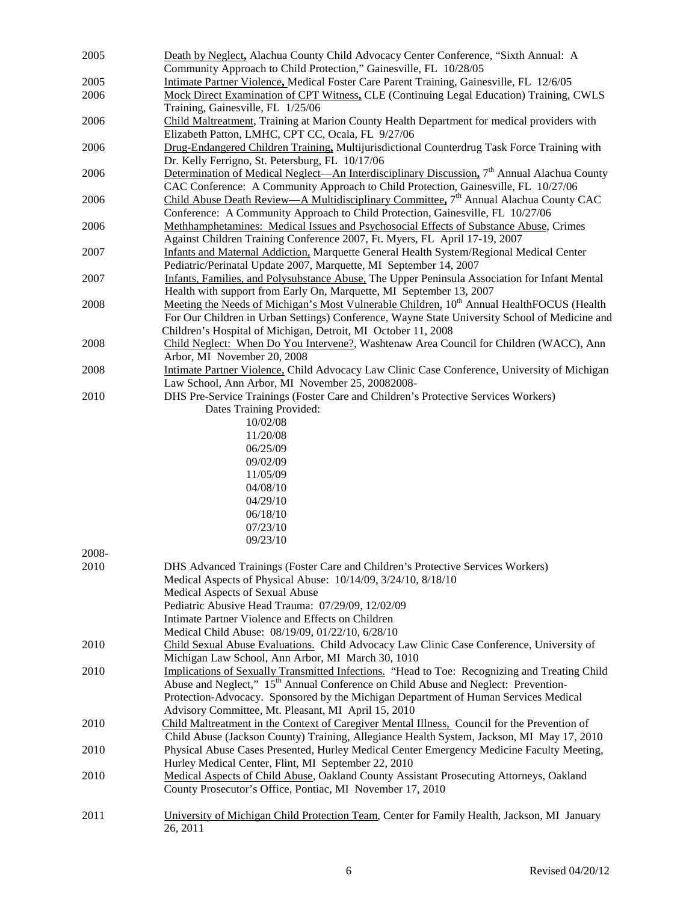| 2005  | Death by Neglect, Alachua County Child Advocacy Center Conference, "Sixth Annual: A<br>Community Approach to Child Protection," Gainesville, FL 10/28/05 |
|-------|----------------------------------------------------------------------------------------------------------------------------------------------------------|
|       |                                                                                                                                                          |
| 2005  | Intimate Partner Violence, Medical Foster Care Parent Training, Gainesville, FL 12/6/05                                                                  |
| 2006  | Mock Direct Examination of CPT Witness, CLE (Continuing Legal Education) Training, CWLS<br>Training, Gainesville, FL 1/25/06                             |
| 2006  | Child Maltreatment, Training at Marion County Health Department for medical providers with                                                               |
|       | Elizabeth Patton, LMHC, CPT CC, Ocala, FL 9/27/06                                                                                                        |
| 2006  | Drug-Endangered Children Training, Multijurisdictional Counterdrug Task Force Training with                                                              |
|       | Dr. Kelly Ferrigno, St. Petersburg, FL 10/17/06                                                                                                          |
| 2006  | Determination of Medical Neglect—An Interdisciplinary Discussion, 7 <sup>th</sup> Annual Alachua County                                                  |
|       | CAC Conference: A Community Approach to Child Protection, Gainesville, FL 10/27/06                                                                       |
|       |                                                                                                                                                          |
| 2006  | Child Abuse Death Review—A Multidisciplinary Committee, 7 <sup>th</sup> Annual Alachua County CAC                                                        |
|       | Conference: A Community Approach to Child Protection, Gainesville, FL 10/27/06                                                                           |
| 2006  | Methhamphetamines: Medical Issues and Psychosocial Effects of Substance Abuse, Crimes                                                                    |
|       | Against Children Training Conference 2007, Ft. Myers, FL April 17-19, 2007                                                                               |
| 2007  | Infants and Maternal Addiction, Marquette General Health System/Regional Medical Center                                                                  |
|       | Pediatric/Perinatal Update 2007, Marquette, MI September 14, 2007                                                                                        |
| 2007  | Infants, Families, and Polysubstance Abuse, The Upper Peninsula Association for Infant Mental                                                            |
|       | Health with support from Early On, Marquette, MI September 13, 2007                                                                                      |
| 2008  | Meeting the Needs of Michigan's Most Vulnerable Children, 10 <sup>th</sup> Annual HealthFOCUS (Health                                                    |
|       | For Our Children in Urban Settings) Conference, Wayne State University School of Medicine and                                                            |
|       | Children's Hospital of Michigan, Detroit, MI October 11, 2008                                                                                            |
| 2008  | Child Neglect: When Do You Intervene?, Washtenaw Area Council for Children (WACC), Ann                                                                   |
|       | Arbor, MI November 20, 2008                                                                                                                              |
| 2008  | Intimate Partner Violence, Child Advocacy Law Clinic Case Conference, University of Michigan                                                             |
|       | Law School, Ann Arbor, MI November 25, 20082008-                                                                                                         |
| 2010  | DHS Pre-Service Trainings (Foster Care and Children's Protective Services Workers)                                                                       |
|       | Dates Training Provided:                                                                                                                                 |
|       | 10/02/08                                                                                                                                                 |
|       | 11/20/08                                                                                                                                                 |
|       | 06/25/09                                                                                                                                                 |
|       |                                                                                                                                                          |
|       | 09/02/09                                                                                                                                                 |
|       | 11/05/09                                                                                                                                                 |
|       | 04/08/10                                                                                                                                                 |
|       | 04/29/10                                                                                                                                                 |
|       | 06/18/10                                                                                                                                                 |
|       | 07/23/10                                                                                                                                                 |
|       | 09/23/10                                                                                                                                                 |
| 2008- |                                                                                                                                                          |
| 2010  | DHS Advanced Trainings (Foster Care and Children's Protective Services Workers)                                                                          |
|       | Medical Aspects of Physical Abuse: 10/14/09, 3/24/10, 8/18/10                                                                                            |
|       | Medical Aspects of Sexual Abuse                                                                                                                          |
|       | Pediatric Abusive Head Trauma: 07/29/09, 12/02/09                                                                                                        |
|       | Intimate Partner Violence and Effects on Children                                                                                                        |
|       | Medical Child Abuse: 08/19/09, 01/22/10, 6/28/10                                                                                                         |
| 2010  | Child Sexual Abuse Evaluations. Child Advocacy Law Clinic Case Conference, University of                                                                 |
|       | Michigan Law School, Ann Arbor, MI March 30, 1010                                                                                                        |
| 2010  | Implications of Sexually Transmitted Infections. "Head to Toe: Recognizing and Treating Child                                                            |
|       | Abuse and Neglect," 15 <sup>th</sup> Annual Conference on Child Abuse and Neglect: Prevention-                                                           |
|       | Protection-Advocacy. Sponsored by the Michigan Department of Human Services Medical                                                                      |
|       | Advisory Committee, Mt. Pleasant, MI April 15, 2010                                                                                                      |
| 2010  | Child Maltreatment in the Context of Caregiver Mental Illness, Council for the Prevention of                                                             |
|       | Child Abuse (Jackson County) Training, Allegiance Health System, Jackson, MI May 17, 2010                                                                |
| 2010  | Physical Abuse Cases Presented, Hurley Medical Center Emergency Medicine Faculty Meeting,                                                                |
|       |                                                                                                                                                          |
|       | Hurley Medical Center, Flint, MI September 22, 2010                                                                                                      |
| 2010  | Medical Aspects of Child Abuse, Oakland County Assistant Prosecuting Attorneys, Oakland                                                                  |
|       | County Prosecutor's Office, Pontiac, MI November 17, 2010                                                                                                |
|       |                                                                                                                                                          |
| 2011  | University of Michigan Child Protection Team, Center for Family Health, Jackson, MI January                                                              |
|       | 26, 2011                                                                                                                                                 |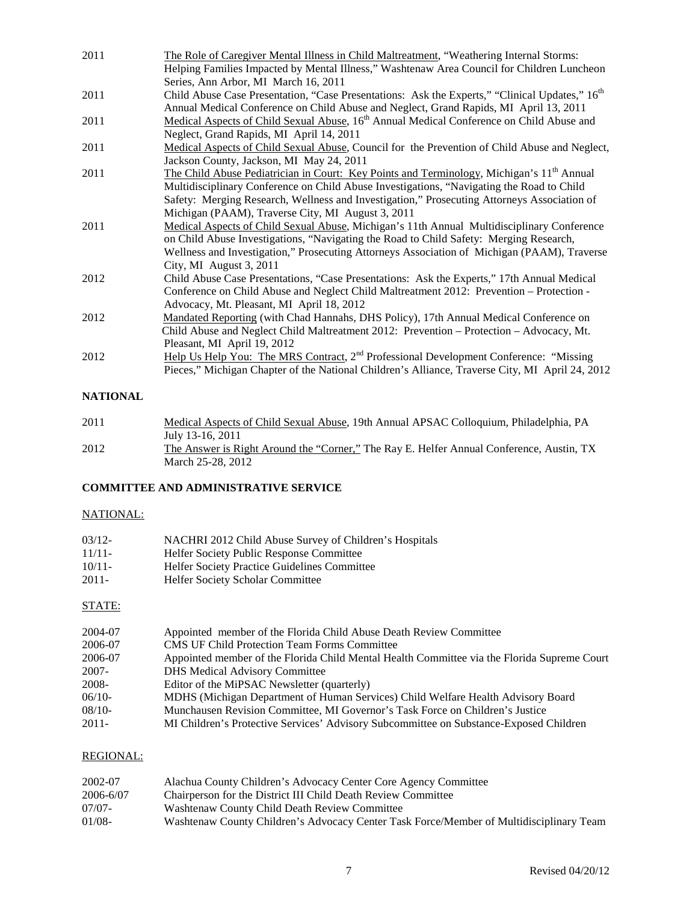| 2011 | The Role of Caregiver Mental Illness in Child Maltreatment, "Weathering Internal Storms:                   |
|------|------------------------------------------------------------------------------------------------------------|
|      | Helping Families Impacted by Mental Illness," Washtenaw Area Council for Children Luncheon                 |
|      | Series, Ann Arbor, MI March 16, 2011                                                                       |
| 2011 | Child Abuse Case Presentation, "Case Presentations: Ask the Experts," "Clinical Updates," 16 <sup>th</sup> |
|      | Annual Medical Conference on Child Abuse and Neglect, Grand Rapids, MI April 13, 2011                      |
| 2011 | Medical Aspects of Child Sexual Abuse, 16 <sup>th</sup> Annual Medical Conference on Child Abuse and       |
|      | Neglect, Grand Rapids, MI April 14, 2011                                                                   |
| 2011 | Medical Aspects of Child Sexual Abuse, Council for the Prevention of Child Abuse and Neglect,              |
|      | Jackson County, Jackson, MI May 24, 2011                                                                   |
| 2011 | The Child Abuse Pediatrician in Court: Key Points and Terminology, Michigan's 11 <sup>th</sup> Annual      |
|      | Multidisciplinary Conference on Child Abuse Investigations, "Navigating the Road to Child                  |
|      | Safety: Merging Research, Wellness and Investigation," Prosecuting Attorneys Association of                |
|      | Michigan (PAAM), Traverse City, MI August 3, 2011                                                          |
| 2011 | Medical Aspects of Child Sexual Abuse, Michigan's 11th Annual Multidisciplinary Conference                 |
|      | on Child Abuse Investigations, "Navigating the Road to Child Safety: Merging Research,                     |
|      | Wellness and Investigation," Prosecuting Attorneys Association of Michigan (PAAM), Traverse                |
|      | City, MI August 3, 2011                                                                                    |
| 2012 | Child Abuse Case Presentations, "Case Presentations: Ask the Experts," 17th Annual Medical                 |
|      | Conference on Child Abuse and Neglect Child Maltreatment 2012: Prevention - Protection -                   |
|      | Advocacy, Mt. Pleasant, MI April 18, 2012                                                                  |
| 2012 | Mandated Reporting (with Chad Hannahs, DHS Policy), 17th Annual Medical Conference on                      |
|      | Child Abuse and Neglect Child Maltreatment 2012: Prevention - Protection - Advocacy, Mt.                   |
|      | Pleasant, MI April 19, 2012                                                                                |
| 2012 | Help Us Help You: The MRS Contract, 2 <sup>nd</sup> Professional Development Conference: "Missing          |
|      | Pieces," Michigan Chapter of the National Children's Alliance, Traverse City, MI April 24, 2012            |
|      |                                                                                                            |

# **NATIONAL**

| 2011 | Medical Aspects of Child Sexual Abuse, 19th Annual APSAC Colloquium, Philadelphia, PA    |
|------|------------------------------------------------------------------------------------------|
|      | July 13-16, 2011                                                                         |
| 2012 | The Answer is Right Around the "Corner," The Ray E. Helfer Annual Conference, Austin, TX |
|      | March 25-28, 2012                                                                        |

### **COMMITTEE AND ADMINISTRATIVE SERVICE**

# NATIONAL:

| $03/12$ - | NACHRI 2012 Child Abuse Survey of Children's Hospitals |
|-----------|--------------------------------------------------------|
| $11/11-$  | <b>Helfer Society Public Response Committee</b>        |
| 10/11     | <b>Helfer Society Practice Guidelines Committee</b>    |
| $2011-$   | <b>Helfer Society Scholar Committee</b>                |

# STATE:

| 2004-07  | Appointed member of the Florida Child Abuse Death Review Committee                          |
|----------|---------------------------------------------------------------------------------------------|
| 2006-07  | <b>CMS UF Child Protection Team Forms Committee</b>                                         |
| 2006-07  | Appointed member of the Florida Child Mental Health Committee via the Florida Supreme Court |
| $2007 -$ | <b>DHS</b> Medical Advisory Committee                                                       |
| 2008-    | Editor of the MiPSAC Newsletter (quarterly)                                                 |
| $06/10-$ | MDHS (Michigan Department of Human Services) Child Welfare Health Advisory Board            |
| $08/10-$ | Munchausen Revision Committee, MI Governor's Task Force on Children's Justice               |
| $2011 -$ | MI Children's Protective Services' Advisory Subcommittee on Substance-Exposed Children      |

# REGIONAL:

| 2002-07   | Alachua County Children's Advocacy Center Core Agency Committee                         |
|-----------|-----------------------------------------------------------------------------------------|
| 2006-6/07 | Chairperson for the District III Child Death Review Committee                           |
| $07/07 -$ | Washtenaw County Child Death Review Committee                                           |
| $01/08 -$ | Washtenaw County Children's Advocacy Center Task Force/Member of Multidisciplinary Team |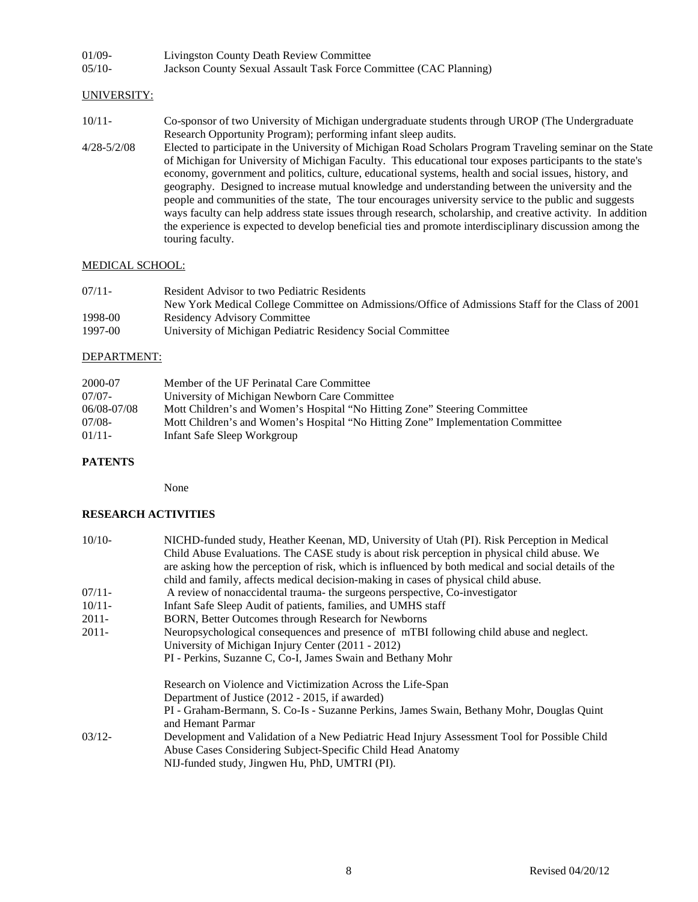| 01/09- | Livingston County Death Review Committee                          |
|--------|-------------------------------------------------------------------|
| 05/10- | Jackson County Sexual Assault Task Force Committee (CAC Planning) |

#### UNIVERSITY:

- 10/11- Co-sponsor of two University of Michigan undergraduate students through UROP (The Undergraduate Research Opportunity Program); performing infant sleep audits.
- 4/28-5/2/08 Elected to participate in the University of Michigan Road Scholars Program Traveling seminar on the State of Michigan for University of Michigan Faculty. This educational tour exposes participants to the state's economy, government and politics, culture, educational systems, health and social issues, history, and geography. Designed to increase mutual knowledge and understanding between the university and the people and communities of the state, The tour encourages university service to the public and suggests ways faculty can help address state issues through research, scholarship, and creative activity. In addition the experience is expected to develop beneficial ties and promote interdisciplinary discussion among the touring faculty.

#### MEDICAL SCHOOL:

| $07/11$ - | Resident Advisor to two Pediatric Residents                                                       |
|-----------|---------------------------------------------------------------------------------------------------|
|           | New York Medical College Committee on Admissions/Office of Admissions Staff for the Class of 2001 |
| 1998-00   | <b>Residency Advisory Committee</b>                                                               |
| 1997-00   | University of Michigan Pediatric Residency Social Committee                                       |

#### DEPARTMENT:

| 2000-07     | Member of the UF Perinatal Care Committee                                       |
|-------------|---------------------------------------------------------------------------------|
| $07/07 -$   | University of Michigan Newborn Care Committee                                   |
| 06/08-07/08 | Mott Children's and Women's Hospital "No Hitting Zone" Steering Committee       |
| $07/08-$    | Mott Children's and Women's Hospital "No Hitting Zone" Implementation Committee |
| 01/11       | Infant Safe Sleep Workgroup                                                     |

#### **PATENTS**

None

#### **RESEARCH ACTIVITIES**

| $10/10-$ | NICHD-funded study, Heather Keenan, MD, University of Utah (PI). Risk Perception in Medical<br>Child Abuse Evaluations. The CASE study is about risk perception in physical child abuse. We<br>are asking how the perception of risk, which is influenced by both medical and social details of the<br>child and family, affects medical decision-making in cases of physical child abuse. |
|----------|--------------------------------------------------------------------------------------------------------------------------------------------------------------------------------------------------------------------------------------------------------------------------------------------------------------------------------------------------------------------------------------------|
| $07/11-$ | A review of nonaccidental trauma- the surgeons perspective, Co-investigator                                                                                                                                                                                                                                                                                                                |
| $10/11-$ | Infant Safe Sleep Audit of patients, families, and UMHS staff                                                                                                                                                                                                                                                                                                                              |
| $2011 -$ | BORN, Better Outcomes through Research for Newborns                                                                                                                                                                                                                                                                                                                                        |
| $2011 -$ | Neuropsychological consequences and presence of mTBI following child abuse and neglect.<br>University of Michigan Injury Center (2011 - 2012)<br>PI - Perkins, Suzanne C, Co-I, James Swain and Bethany Mohr                                                                                                                                                                               |
|          | Research on Violence and Victimization Across the Life-Span<br>Department of Justice (2012 - 2015, if awarded)<br>PI - Graham-Bermann, S. Co-Is - Suzanne Perkins, James Swain, Bethany Mohr, Douglas Quint<br>and Hemant Parmar                                                                                                                                                           |
| $03/12-$ | Development and Validation of a New Pediatric Head Injury Assessment Tool for Possible Child<br>Abuse Cases Considering Subject-Specific Child Head Anatomy<br>NIJ-funded study, Jingwen Hu, PhD, UMTRI (PI).                                                                                                                                                                              |